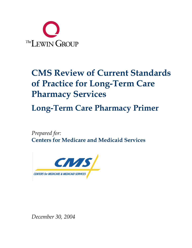

# **CMS Review of Current Standards of Practice for Long-Term Care Pharmacy Services**

**Long-Term Care Pharmacy Primer** 

*Prepared for:*  **Centers for Medicare and Medicaid Services** 



*December 30, 2004*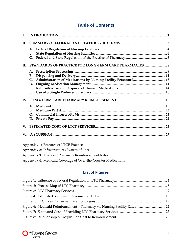# **Table of Contents**

| L.          |                                                       |
|-------------|-------------------------------------------------------|
| II.         |                                                       |
|             | А.<br>В.<br>C.                                        |
|             |                                                       |
|             | A.<br>В.<br>$\mathsf{C}$ .<br>D.<br>$E_{\star}$<br>F. |
|             | $\mathbf{A}$ .<br>$\bf{B}$ .<br>$\mathsf{C}$ .<br>D.  |
| $V_{\cdot}$ |                                                       |
|             |                                                       |

| <b>Appendix 1: Features of LTCP Practice</b>                         |
|----------------------------------------------------------------------|
| Appendix 2: Infrastructure/System of Care                            |
| <b>Appendix 3: Medicaid Pharmacy Reimbursement Rates</b>             |
| <b>Appendix 4: Medicaid Coverage of Over-the-Counter Medications</b> |

# **List of Figures**

| Figure 6: Medicaid Reimbursement - Pharmacy vs. Nursing Facility Rates  22 |  |
|----------------------------------------------------------------------------|--|
|                                                                            |  |
|                                                                            |  |

L,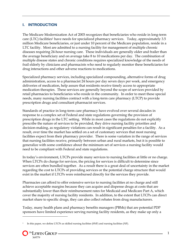## **I. INTRODUCTION**

The Medicare Modernization Act of 2003 recognizes that beneficiaries who reside in long-term care (LTC) facilities<sup>1</sup> have needs for specialized pharmacy services. Today, approximately 3.5 million Medicare beneficiaries, or just under 10 percent of the Medicare population, reside in a LTC facility. Most are admitted to a nursing facility for management of multiple chronic diseases requiring 24-hour nursing care. These individuals are generally older and frailer than the average beneficiary and on average take 8 to 10 medications per day. The combination of multiple disease states and chronic conditions requires specialized knowledge of the needs of frail elderly by clinicians and pharmacists who need to regularly monitor these beneficiaries for drug interactions and other adverse reactions to medications.

Specialized pharmacy services, including specialized compounding, alternative forms of drug administration, access to a pharmacist 24 hours per day seven days per week, and emergency deliveries of medication, help assure that residents receive timely access to appropriate medication therapies. These services are generally beyond the scope of services provided by retail pharmacies to beneficiaries who reside in the community. In order to meet these special needs, many nursing facilities contract with a long-term care pharmacy (LTCP) to provide prescription drugs and consultant pharmacist services.

Standards of practice in long-term care pharmacy have evolved over several decades in response to a complex set of Federal and state regulations governing the provision of prescription drugs in the LTC setting. While in most cases the regulations do not explicitly prescribe the nature of services to be provided, they drive nursing facility priorities and decision-making, as regulatory violations can result in significant penalties for a facility. As a result, over time the market has settled on a set of customary services that most nursing facilities expect from their pharmacy provider. There is some variation in the range of services that nursing facilities receive, primarily between urban and rural markets, but it is possible to generalize with some confidence about the minimum set of services a nursing facility would need to be compliant with Federal and state regulations.

In today's environment, LTCPs provide many services to nursing facilities at little or no charge. When LTCPs do charge for services, the pricing for services is difficult to determine since services are often bundled together. As a result there is a great deal of uncertainty in the market regarding the cost to LTCPs of providing services or the potential charge structure that would exist in the market if LTCPs were reimbursed directly for the services they provide.

Pharmacies can afford to offer extensive service to nursing facilities at no charge and still achieve acceptable margins because they can acquire and dispense drugs at costs that are substantially lower than their reimbursement rates for Medicaid and Medicare Part A, which cover the majority of nursing facility residents. In addition, to the extent that LTCPs can direct market share to specific drugs, they can also collect rebates from drug manufacturers.

Today, many health plans and pharmacy benefits managers (PBMs) that are potential PDP sponsors have limited experience serving nursing facility residents, as they make up only a

<sup>1</sup> In this paper, we define LTCPs as skilled nursing facilities (SNF) and nursing facilities (NF).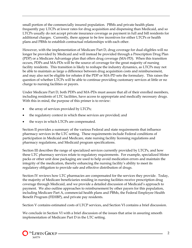small portion of the commercially insured population. PBMs and private health plans frequently pay LTCPs at lower rates for drug acquisition and dispensing than Medicaid, and so LTCPs usually do not accept private insurance coverage as payment in full and bill residents for additional charges. Currently, there appear to be few incentives for either LTCPs or health plans and PBMs to establish contractual relationships with each other.

However, with the implementation of Medicare Part D, drug coverage for dual eligibles will no longer be provided by Medicaid and will instead be provided through a Prescription Drug Plan (PDP) or a Medicare Advantage plan that offers drug coverage (MA-PD). When this transition occurs, PDPs and MA-PDs will be the source of coverage for the great majority of nursing facility residents. This transition is likely to reshape the industry dynamics, as LTCPs may not be able to maintain as large a difference between drug acquisition costs and reimbursement, and may also not be eligible for rebates if the PDP or MA-PD sets the formulary. This raises the question of whether LTCPs will be able to continue providing customary services at little or no charge to nursing facilities or payers.

Under Medicare Part D, both PDPs and MA-PDs must assure that all of their enrolled members, including residents of LTC facilities, have access to appropriate and medically necessary drugs. With this in mind, the purpose of this primer is to review:

- the array of services provided by LTCPs;
- the regulatory context in which these services are provided; and
- the ways in which LTCPs are compensated.

Section II provides a summary of the various Federal and state requirements that influence pharmacy services in the LTC setting. These requirements include Federal conditions of participation in Medicaid and Medicare, state nursing facility licensing regulations and pharmacy regulations, and Medicaid program specifications.

Section III describes the range of specialized services currently provided by LTCPs, and how these LTC pharmacy services relate to regulatory requirements. For example, specialized blister packs or other unit dose packaging are used to help avoid medication errors and maintain the integrity of the medication, thereby enhancing the nursing facility's ability to meet its regulatory obligation to provide safe and effective distribution of drugs.

Section IV reviews how LTC pharmacies are compensated for the services they provide. Today, the majority of Medicare beneficiaries residing in nursing facilities receive prescription drug coverage through Medicaid, and we provide a detailed discussion of Medicaid's approach to payment. We also outline approaches to reimbursement by other payers for this population, including Medicare Part A, commercial health plans and PBMs, the Federal Employee Health Benefit Program (FEHBP), and private pay residents.

Section V contains estimated costs of LTCP services, and Section VI contains a brief discussion.

We conclude in Section VI with a brief discussion of the issues that arise in assuring smooth implementation of Medicare Part D in the LTC setting.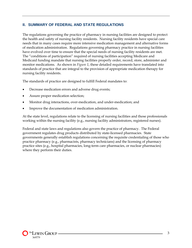### **II. SUMMARY OF FEDERAL AND STATE REGULATIONS**

The regulations governing the practice of pharmacy in nursing facilities are designed to protect the health and safety of nursing facility residents. Nursing facility residents have special care needs that in many cases require more intensive medication management and alternative forms of medication administration. Regulations governing pharmacy practice in nursing facilities have evolved over time to ensure that the special needs of nursing facility residents are met. The "conditions of participation" required of nursing facilities accepting Medicare and Medicaid funding mandate that nursing facilities properly order, record, store, administer and monitor medications. As shown in *Figure 1*, these detailed requirements have translated into standards of practice that are integral to the provision of appropriate medication therapy for nursing facility residents.

The standards of practice are designed to fulfill Federal mandates to:

- Decrease medication errors and adverse drug events;
- Assure proper medication selection;
- Monitor drug interactions, over-medication, and under-medication; and
- Improve the documentation of medication administration.

At the state level, regulations relate to the licensing of nursing facilities and those professionals working within the nursing facility (e.g., nursing facility administrators, registered nurses).

Federal and state laws and regulations also govern the practice of pharmacy. The Federal government regulates drug products distributed by state-licensed pharmacies. State governments generally establish regulations concerning the requisite credentialing of those who practice pharmacy (e.g., pharmacists, pharmacy technicians) and the licensing of pharmacy practice sites (e.g., hospital pharmacies, long-term care pharmacies, or nuclear pharmacies) where they perform their duties.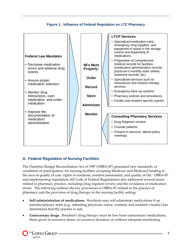

#### **Figure 1: Influence of Federal Regulation on LTC Pharmacy**

## **A. Federal Regulation of Nursing Facilities**

The Omnibus Budget Reconciliation Act of 1987 (OBRA-87) generated new standards, or conditions of participation, for nursing facilities accepting Medicare and Medicaid funding in the area of quality of care, rights of residents, resident assessment, and quality of life. OBRA-87 and implementing regulations (42 Code of Federal Regulations) also addressed several issues related to pharmacy practice, including drug regimen review and the avoidance of medication errors. The following outlines the key provisions in OBRA-87 related to the practice of pharmacy and the provision of drug therapy in the nursing facility setting:

- **Self-administration of medications.** Residents may self-administer medications if an interdisciplinary team (e.g., attending physician, nurse, resident, and resident's family) has determined that the practice is safe.
- **Unnecessary drugs.** Resident's drug therapy must be free from unnecessary medications, those given in excessive doses, in excessive duration, or without adequate monitoring.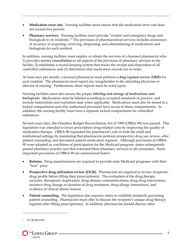- **Medication error rate.** Nursing facilities must ensure that the medication error rate does not exceed five percent.
- **Pharmacy services.** Nursing facilities must provide "routine and emergency drugs and biologicals to its residents."2 The provision of pharmaceutical services includes assurances of accuracy in acquiring, receiving, dispensing, and administering of medications and biologicals for each resident.

In addition, nursing facilities must employ or obtain the services of a licensed pharmacist who: 1) provides *service consultation* on all aspects of the provision of pharmacy services in the facility; 2) establishes a record-keeping system that tracks the receipt and disposition of all controlled substances; and (3) determines that medication records are in order.

At least once per month, a licensed pharmacist must perform a *drug regimen review (DRR)* for each resident. The pharmacist must report any irregularities to the attending physician or director of nursing. Furthermore, these reports must be acted upon.

Nursing facilities must also ensure the proper *labeling and storage of medications and biologicals*. Medications must be labeled according to accepted standards of practice, and include instructions and expiration date when applicable. Medications must also be stored in a locked compartment and only authorized personnel have access to these compartments. In addition, the nursing facility must have a separate locked compartment for controlled substances.

Several years later, the Omnibus Budget Reconciliation Act of 1990 (OBRA-90) was passed. This legislation was intended to lower prescription drug-related costs by improving the quality of medication therapy. OBRA-90 expanded the pharmacist's role in both the retail and institutional settings by mandating that pharmacists perform prospective drug use review, offer patient counseling, and document patient medication regimen. Although provisions in OBRA-90 were adopted as conditions of participation for the Medicaid program, states subsequently passed pharmacy practice acts that extended these pharmacy services to all consumers. Some important provisions of OBRA-90 are summarized below:

- **Rebates.** Drug manufacturers are required to provide state Medicaid programs with their "best" price.
- Prospective drug utilization review (DUR). Pharmacists are required to review recipients' drug profile before filling their prescription(s). The evaluation of the drug therapy includes: therapeutic duplication; drug-disease contraindications; drug-drug interactions, incorrect drug dosage or duration of drug treatment, drug-allergy interactions, and evidence of clinical abuse/misuse.
- **Patient counseling.** The legislation also requires states to establish standards governing patient counseling. Pharmacists must offer to discuss the recipient's unique drug therapy regimen after filling prescription(s). In addition, pharmacists should discuss other

<u>.</u>

<sup>2 42</sup> CRF **§** 43.860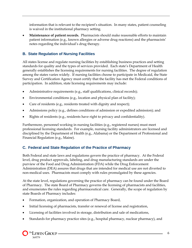information that is relevant to the recipient's situation. In many states, patient counseling is waived in the institutional pharmacy setting.

• **Maintenance of patient records.** Pharmacists should make reasonable efforts to maintain patient information (e.g., known allergies or adverse drug reactions) and the pharmacists' notes regarding the individual's drug therapy.

# **B. State Regulation of Nursing Facilities**

All states license and regulate nursing facilities by establishing business practices and setting standards for quality and the types of services provided. Each state's Department of Health generally establishes the licensing requirements for nursing facilities. The degree of regulation among the states varies widely. If nursing facilities choose to participate in Medicaid, the State Survey and Certification Agency must certify that the facility has met the Federal conditions of participation. In addition, state licensing requirements may include:

- Administrative requirements (e.g., staff qualifications, clinical records);
- Environmental conditions (e.g., location and physical plan of facility);
- Care of residents (e.g., residents treated with dignity and respect);
- Admissions policy (e.g., defines conditions of admission or expedited admission); and
- Rights of residents (e.g., residents have right to privacy and confidentiality).

Furthermore, personnel working in nursing facilities (e.g., registered nurses) must meet professional licensing standards. For example, nursing facility administrators are licensed and disciplined by the Department of Health (e.g., Alabama) or the Department of Professional and Financial Regulation (e.g., Maine).

# **C. Federal and State Regulation of the Practice of Pharmacy**

Both Federal and state laws and regulations govern the practice of pharmacy. At the Federal level, drug product approvals, labeling, and drug manufacturing standards are under the purview of the Food and Drug Administration (FDA) while the Drug Enforcement Administration (DEA) assures that drugs that are intended for medical use are not diverted to non-medical uses. Pharmacists must comply with rules promulgated by these agencies.

At the state level, regulations governing the practice of pharmacy can be found under the Board of Pharmacy. The state Board of Pharmacy governs the licensing of pharmacists and facilities, and enumerates the rules regarding pharmaceutical care. Generally, the scope of regulation by state Boards of Pharmacy includes:

- Formation, organization, and operation of Pharmacy Board,
- Initial licensing of pharmacists, transfer or renewal of license and registration,
- Licensing of facilities involved in storage, distribution and sale of medications,
- Standards for pharmacy practice sites (e.g., hospital pharmacy, nuclear pharmacy), and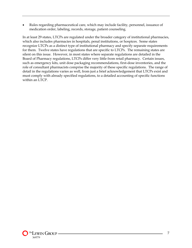• Rules regarding pharmaceutical care, which may include facility, personnel, issuance of medication order, labeling, records, storage, patient counseling.

In at least 29 states, LTCPs are regulated under the broader category of institutional pharmacies, which also includes pharmacies in hospitals, penal institutions, or hospices. Some states recognize LTCPs as a distinct type of institutional pharmacy and specify separate requirements for them. Twelve states have regulations that are specific to LTCPs. The remaining states are silent on this issue. However, in most states where separate regulations are detailed in the Board of Pharmacy regulations, LTCPs differ very little from retail pharmacy. Certain issues, such as emergency kits, unit dose packaging recommendations, first-dose inventories, and the role of consultant pharmacists comprise the majority of these specific regulations. The range of detail in the regulations varies as well, from just a brief acknowledgement that LTCPs exist and must comply with already specified regulations, to a detailed accounting of specific functions within an LTCP.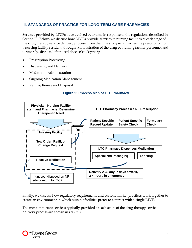## **III. STANDARDS OF PRACTICE FOR LONG-TERM CARE PHARMACIES**

Services provided by LTCPs have evolved over time in response to the regulations described in Section II. Below, we discuss how LTCPs provide services to nursing facilities at each stage of the drug therapy service delivery process, from the time a physician writes the prescription for a nursing facility resident, through administration of the drug by nursing facility personnel and ultimately, disposal of unused doses (See *Figure 2*):

- Prescription Processing
- Dispensing and Delivery
- Medication Administration
- Ongoing Medication Management
- Return/Re-use and Disposal

#### **Figure 2: Process Map of LTC Pharmacy**



Finally, we discuss how regulatory requirements and current market practices work together to create an environment in which nursing facilities prefer to contract with a single LTCP.

The most important services typically provided at each stage of the drug therapy service delivery process are shown in *Figure 3*.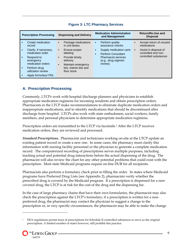| <b>Prescription Processing</b> |                                                                           | <b>Dispensing and Delivery</b>                                                                                 | <b>Medication Administration</b><br>and Management                                              | Return/Re-Use and<br><b>Disposal</b>                                                                     |
|--------------------------------|---------------------------------------------------------------------------|----------------------------------------------------------------------------------------------------------------|-------------------------------------------------------------------------------------------------|----------------------------------------------------------------------------------------------------------|
|                                | Create medication<br>record<br>Clarify, if necessary,<br>medication order | Package medications<br>٠<br>in unit doses<br>Ensure proper<br>٠<br>labeling                                    | Perform quality<br>٠<br>assurance checks<br>Supply medication carts<br>п.                       | Accept return of unused<br>medications<br>Assist in disposal of<br>$\blacksquare$<br>controlled and non- |
|                                | Respond to<br>emergency<br>medication orders<br>Perform drug              | Provide timely<br>$\blacksquare$<br>delivery<br>Maintain emergency<br>$\blacksquare$<br>kits, interim kits and | <b>Perform Consultant</b><br>п.<br><b>Pharmacist services</b><br>(e.g., drug regimen<br>review) | controlled substances                                                                                    |
|                                | utilization review<br>Apply formulary/ PDL                                | floor stock                                                                                                    |                                                                                                 |                                                                                                          |

#### **Figure 3: LTC Pharmacy Services**

## **A. Prescription Processing**

Commonly, LTCPs work with hospital discharge planners and physicians to establish appropriate medication regimens for incoming residents and obtain prescription orders. Pharmacists in the LTCP make recommendations to eliminate duplicate medication orders and inappropriate medications, and to identify medications that should be discontinued after discharge from hospital. LTCPs also work with state ombudsmen, social workers, family members, and personal physicians to determine appropriate medication regimens.

Prescription orders are transmitted to the LTCP via facsimile.<sup>3</sup> After the LTCP receives medication orders, they are reviewed and processed.

*Standard Prescriptions.* Pharmacists and technicians working on-site at the LTCP update an existing patient record or create a new one. In some cases, the pharmacy must clarify this information with nursing facility personnel or the physician to generate a complete medication record. The computerized recording of prescriptions serves multiple purposes, including tracking actual and potential drug interactions before the actual dispensing of the drug. The pharmacist will also review the chart for any other potential problems that could exist with the prescription. Most state Medicaid programs require on-line DUR for all recipients.

Pharmacists also perform a formulary check prior to filling the order. In states where Medicaid programs have Preferred Drug Lists (see Appendix 2), pharmacists verify whether the prescribed drug is covered by the Medicaid program. If a prescription is dispensed for a noncovered drug, the LTCP is at risk for the cost of the drug and the dispensing fee.

In the case of large pharmacy chains that have their own formularies, the pharmacist may also check the prescription against the LTCP's formulary; if a prescription is written for a nonpreferred drug, the pharmacist may contact the physician to suggest a change to the prescription or, in very specific circumstances, the pharmacist may be able to make the change

<sup>&</sup>lt;sup>3</sup> DEA regulations permit faxes of prescriptions for Schedule II controlled substances to serve as the original prescription. A limited number of states however, still prohibit this practice.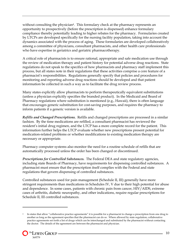without consulting the physician<sup>4</sup>. This formulary check at the pharmacy represents an opportunity to prospectively (before the prescription is dispensed) enhance formulary compliance thereby potentially leading to higher rebates for the pharmacy. Formularies created by LTCPs are developed specifically for the nursing facility population, taking into account the dynamics associated with the process of aging. These formularies are developed collaboratively among a committee of physicians, consultant pharmacists, and other health care professionals who have expertise in geriatrics and geriatric pharmacotherapy.

A critical role of pharmacists is to ensure rational, appropriate and safe medication use through the review of medication therapy and patient history for potential adverse drug reactions. State regulations do not speak to the specifics of how pharmacists and pharmacy staff implement this process, but all states note in their regulations that these activities comprise a core feature of a pharmacist's responsibilities. Regulations generally specify that policies and procedures for monitoring and reporting adverse drug reactions should be developed and that patient information be collected in such a way as to facilitate the drug review process.

Many states explicitly allow pharmacists to perform therapeutically equivalent substitutions (unless a physician explicitly specifies the branded product). In the Medicaid and Board of Pharmacy regulations where substitution is mentioned (e.g., Hawaii), there is often language that encourages generic substitution for cost-saving purposes, and requires the pharmacy to inform patients if a generic version is available.

*Refills and Changed Prescriptions.* Refills and changed prescriptions are processed in a similar fashion. By the time medications are refilled, a consultant pharmacist has reviewed the resident's initial drug regimen, and the LTCP has a more complete record for the patient. This information further helps the LTCP evaluate whether new prescriptions present potential for medication-related problems or whether modifications to existing medication therapy are necessary or appropriate.

Pharmacy computer systems also monitor the need for a routine schedule of refills that are automatically processed unless the order has been changed or discontinued.

*Prescriptions for Controlled Substances.* The Federal DEA and state regulatory agencies, including state Boards of Pharmacy, have requirements for dispensing controlled substances. A pharmacist must ensure that the prescription itself complies with the Federal and state regulations that govern dispensing of controlled substances.

Controlled substances used for pain management (Schedule II, III) generally have more stringent requirements than medications in Schedules IV, V due to their high potential for abuse and dependence. In some cases, patients with chronic pain from cancer, HIV/AIDS, extreme cases of arthritis, diabetic neuropathy, and other indications, require regular prescriptions for Schedule II, III controlled substances.

<u>.</u>

<sup>4</sup> In states that allow "collaborative practice agreements" it is possible for a pharmacist to change a prescription from one drug to another as long as the agreement specifies that the pharmacist can do so. Where allowed by state regulation, collaborative practice agreements set forth a list of drugs which can be interchanged and substituted by the pharmacist without contacting the doctor. The details of the agreement are between the pharmacist and physician.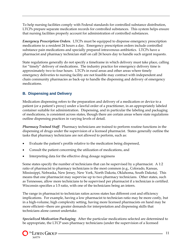To help nursing facilities comply with Federal standards for controlled substance distribution, LTCPs prepare separate medication records for controlled substances. This system helps ensure that nursing facilities properly account for administration of controlled substances.

*Emergency Prescription Orders*. LTCPs must be equipped to dispense emergency prescription medications to a resident 24 hours a day. Emergency prescription orders include controlled substance pain medications and specially prepared intravenous antibiotics. LTCPs have a pharmacist and pharmacy technician staff on call 24 hours day to handle such urgent requests.

State regulations generally do not specify a timeframe in which delivery must take place, calling for "timely" delivery of medications. The industry practice for emergency delivery time is approximately two to four hours. LTCPs in rural areas and other areas where timely emergency deliveries to nursing facility are not feasible may contract with independent and chain community pharmacies as back-up to handle the dispensing and delivery of emergency medications.

# **B. Dispensing and Delivery**

Medication dispensing refers to the preparation and delivery of a medication or device to a patient (or a patient's proxy) under a lawful order of a practitioner, in an appropriately labeled container suitable for administration. Dispensing, and in particular the labeling and packaging of medications, is consistent across states, though there are certain areas where state regulations outline dispensing practices in varying levels of detail.

*Pharmacy Trained Staff*. Pharmacy technicians are trained to perform routine functions in the dispensing of drugs under the supervision of a licensed pharmacist. States generally outline the tasks that pharmacy technicians are not allowed to perform, such as:

- Evaluate the patient's profile relative to the medication being dispensed,
- Consult the patient concerning the utilization of medications, and
- Interpreting data for the effective drug dosage regimens

Some states specify the number of technicians that can be supervised by a pharmacist. A 1:2 ratio of pharmacist to pharmacy technicians is the most common (e.g., Colorado, Kansas, Mississippi, Nebraska, New Jersey, New York, North Dakota, Oklahoma, South Dakota). This means that one pharmacist may supervise up to two pharmacy technicians. Other states, such as Tennessee, allow more technicians to be supervised per pharmacist if a technician is certified. Wisconsin specifies a 1:5 ratio, with one of the technicians being an intern.

The range in pharmacist to technician ratios across states has different cost and efficiency implications. For example, having a low pharmacist to technician ratio may be more costly, but in a high-volume, high complexity setting, having more licensed pharmacists on hand may be more efficient–-there are greater demands for interpretation and dispensing skills that technicians alone cannot undertake.

*Specialized Medication Packaging*. After the particular medications selected are determined to be appropriate, the LTCP uses pharmacy technicians (under the supervision of a licensed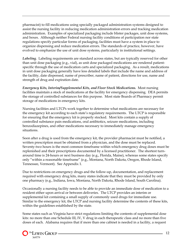pharmacist) to fill medications using specially packaged administration systems designed to assist the nursing facility in reducing medication administration errors and tracking medication administration. Examples of specialized packaging include blister packages, unit dose systems, and boxes. Although neither Federal nursing facility conditions of participation nor state regulations specify particular forms of packaging, facilities must have a system in place to organize dispensing and reduce medication errors. The standards of practice, however, have evolved to emphasize the use of unit dose systems, particularly in institutional settings.

*Labeling.* Labeling requirements are standard across states, but are typically reserved for other than unit dose packaging (e.g., vial), as unit dose packaged medications are rendered patientspecific through the use of medication carts and specialized packaging. As a result, medications in unit dose packaging generally have less detailed labels that include the name and address of the facility, date dispensed, name of prescriber, name of patient, directions for use, name and strength of drug and expiration date.

*Emergency Kits, Interim/Supplemental Kits, and Floor Stock Medications.* Most nursing facilities maintain a stock of medications at the facility for emergency dispensing. DEA permits the storage of controlled substances for this purpose. Most state Boards of Pharmacy permit storage of medications in emergency kits.

Nursing facilities and LTCPs work together to determine what medications are necessary for the emergency kit according to each state's regulatory requirements. The LTCP is responsible for ensuring that the emergency kit is properly stocked. Most kits contain a supply of controlled substance pain medications, oral antibiotics, seizure medications, including benzodiazepines, and other medications necessary to immediately manage emergency situations.

Soon after a drug is used from the emergency kit, the provider pharmacist must be notified, a written prescription must be obtained from a physician, and the dose must be replaced. Seventy-two hours is the most common timeframe within which emergency drug doses must be replenished and their prescriptions documented by a licensed practitioner. The shortest turnaround time is 24-hours or next business day (e.g., Florida, Maine), whereas some states specify only "within a reasonable timeframe" (e.g., Montana, North Dakota, Oregon, Rhode Island, Tennessee, Vermont). See Appendix 1.

Due to restrictions on emergency drugs and the follow-up, documentation, and replacement required with emergency drug kits, many states indicate that they must be provided by only one pharmacy (e.g., Indiana, Iowa, Montana, North Dakota, Rhode Island, South Carolina).

Occasionally a nursing facility needs to be able to provide an immediate dose of medication to a resident either upon arrival or between deliveries. The LTCP provides an interim or supplemental kit containing a small supply of commonly used drugs for immediate use. Similar to the emergency kit, the LTCP and nursing facility determine the contents of these kits, within the guidelines established by the state.

Some states such as Virginia have strict regulations limiting the contents of supplemental dose kits: no more than one Schedule III, IV, V drug in each therapeutic class and no more than five doses of each. Alabama requires that if more than one cabinet is needed in a facility, a request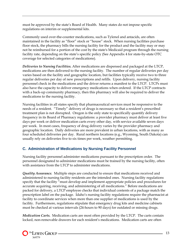must be approved by the state's Board of Health. Many states do not impose specific regulations on interim or supplemental kits.

Commonly used over-the-counter medications, such as Tylenol and antacids, are often maintained in the facility as "floor" stock or "house" stock. When nursing facilities purchase floor stock, the pharmacy bills the nursing facility for the product and the facility may or may not be reimbursed for a portion of the cost by the state's Medicaid program through the nursing facility rate, depending on the state's specific policy (See Appendix 4 for state-by-state OTC coverage for selected categories of medications).

*Deliveries to Nursing Facilities.* After medications are dispensed and packaged at the LTCP, medications are then delivered to the nursing facility. The number of regular deliveries per day varies based on the facility and geographic location, but facilities typically receive two to three regular deliveries per day of new prescriptions and refills. Upon delivery, nursing facility personnel check in the medications and the driver returns a manifest to the LTCP. LTCPs must also have the capacity to deliver emergency medications when ordered. If the LTCP contracts with a back-up community pharmacy, then this pharmacy will also be required to deliver the medications to the nursing facility.

Nursing facilities in all states specify that pharmaceutical services must be responsive to the needs of a resident. "Timely" delivery of drugs is necessary so that a resident's prescribed treatment plan is not disrupted. Oregon is the only state to specifically quantify delivery frequency in its Board of Pharmacy regulations: a provider pharmacy must deliver at least five days per week or deliver medication carts every other day, with service available seven days per week. In most cases, frequency of drug delivery varies by the provider pharmacy and geographic location. Daily deliveries are more prevalent in urban locations, with as many as four scheduled deliveries per day. Rural northern locations (e.g., Wyoming, South Dakota) can usually rely on deliveries five to six times per week, weather permitting.

# **C. Administration of Medications by Nursing Facility Personnel**

Nursing facility personnel administer medications pursuant to the prescription order. The personnel designated to administer medications must be trained by the nursing facility, often with assistance from the LTCP to administer medications.

*Quality Assurance.* Multiple steps are conducted to ensure that medications received and administered to nursing facility residents are the intended ones. Nursing facility regulations specify that the facility "must develop and implement appropriate policies and procedures for accurate acquiring, receiving, and administering of all medications." Before medications are packed for delivery, a LTCP employee checks that individual contents of a package match the prescription label on the package. Idaho's nursing facility regulations require the pharmacist at facility to coordinate services when more than one supplier of medications is used by the facility. Furthermore, regulations stipulate that emergency drug kits and medicine cabinets must be checked at various intervals (24-hours to 90 days) for outdated or missing drugs.

*Medication Carts.* Medication carts are most often provided by the LTCP. The carts contain locked, non-removable drawers for each resident's medications. Medication carts are often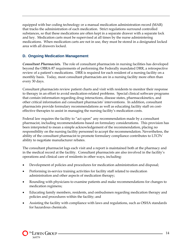equipped with bar coding technology or a manual medication administration record (MAR) that tracks the administration of each medication. Strict regulations surround controlled substances, so that these medications are often kept in a separate drawer with a separate lock and key. Medication carts must be supervised at all times by the nurse administering medications. When medication carts are not in use, they must be stored in a designated locked area with all drawers locked.

## **D. Ongoing Medication Management**

*Consultant Pharmacists.* The role of consultant pharmacists in nursing facilities has developed beyond the OBRA-87 requirements of performing the Federally mandated DRR, a retrospective review of a patient's medications. DRR is required for each resident of a nursing facility on a monthly basis. Today, most consultant pharmacists are in a nursing facility more often than every 30 days.

Consultant pharmacists review patient charts and visit with residents to monitor their response to therapy in an effort to avoid medication-related problems. Special clinical software programs that contain information regarding drug interactions, disease states, pharmacokinetics, and other critical information aid consultant pharmacists' interventions. In addition, consultant pharmacists provide formulary recommendations as well as educating facility staff on costeffective therapies to assist in managing the nursing facility's medication costs.

Federal law requires the facility to "act upon" any recommendation made by a consultant pharmacist, including recommendations based on formulary considerations. This provision has been interpreted to mean a simple acknowledgement of the recommendation, placing no responsibility on the nursing facility personnel to accept the recommendation. Nevertheless, the ability of the consultant pharmacist to promote formulary compliance contributes to LTCPs' ability to negotiate manufacturer rebates.

The consultant pharmacist logs each visit and a report is maintained both at the pharmacy and in the medical record at the facility. Consultant pharmacists are also involved in the facility's operations and clinical care of residents in other ways, including:

- Development of policies and procedures for medication administration and disposal;
- Performing in-service training activities for facility staff related to medication administration and other aspects of medication therapy;
- Rounding with physicians to examine patients and make recommendations for changes to medication regimens;
- Educating family members, residents, and ombudsmen regarding medication therapy and policies and procedures within the facility; and
- Assisting the facility with compliance with laws and regulations, such as OSHA standards for hazardous chemicals.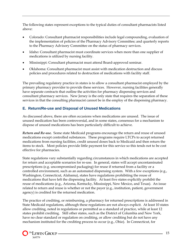The following states represent exceptions to the typical duties of consultant pharmacists listed above:

- Colorado: Consultant pharmacist responsibilities include legal compounding, evaluation of the implementation of policies of the Pharmacy Advisory Committee; and quarterly reports to the Pharmacy Advisory Committee on the status of pharmacy services.
- Idaho: Consultant pharmacist must coordinate services when more than one supplier of medications is utilized by nursing facility.
- Mississippi: Consultant pharmacist must attend Board-approved seminar.
- Oklahoma: Consultant pharmacist must assist with medication destruction and discuss policies and procedures related to destruction of medications with facility staff.

The prevailing regulatory practice in states is to allow a consultant pharmacist employed by the primary pharmacy provider to provide these services. However, nursing facilities generally have separate contracts that outline the activities for pharmacy dispensing services and consultant pharmacy services. New Jersey is the only state that requires the separation of these services in that the consulting pharmacist cannot be in the employ of the dispensing pharmacy.

# **E. Return/Re-use and Disposal of Unused Medications**

As discussed above, there are often occasions when medications are unused. The issue of unused medication has been controversial, and in some states, consensus for a mechanism to dispose of unused medications has been particularly difficult to achieve.

*Return and Re-use.* Some state Medicaid programs encourage the return and reuse of unused medications except controlled substances. These programs require LTCPs to accept returned medications from nursing facilities, credit unused doses back to Medicaid and then return the items to stock. Most policies provide little payment for this service so this tends not to be cost effective for pharmacies.

State regulations vary substantially regarding circumstances in which medications are accepted for return and acceptable scenarios for re-use. In general, states will accept uncontaminated prescriptions (e.g. uncompromised packaging) for reuse if returned from a facility or a controlled environment, such as an automated dispensing system. With a few exceptions (e.g., Washington, Connecticut, Alabama), states have regulations prohibiting the reuse of medications that have left the dispensing facility. At least five states explicitly prohibit the reuse of medications (e.g., Arizona, Kentucky, Mississippi, New Mexico, and Texas). An issue related to return and reuse is whether or not the payer (e.g., institution, patient, government agency) is credited for the returned medication.

The practice of crediting, or reimbursing, a pharmacy for returned prescriptions is addressed in State Medicaid regulations, although these regulations are not always explicit. At least 10 states allow crediting, noted in regulations or permitted as a standard of practice, while at least 12 states prohibit crediting. Still other states, such as the District of Columbia and New York, have no clear standard or regulation on crediting, or allow crediting but do not have any mechanism instituted for the crediting process to occur (e.g., Ohio). In Connecticut, for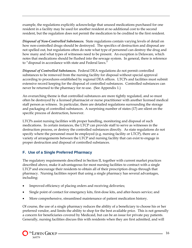example, the regulations explicitly acknowledge that unused medications purchased for one resident in a facility may be used for another resident at no additional cost to the second resident, but the regulation does not permit the medication to be credited to the first resident.

*Disposal of Non-Controlled Substances.* State regulations contain varying levels of detail on how non-controlled drugs should be destroyed. The specifics of destruction and disposal are not spelled out, but regulations often do note what type of personnel can destroy the drug and how many and what types of witnesses need to be present. An exception is Delaware, which notes that medications should be flushed into the sewage system. In general, there is reference to "disposal in accordance with state and Federal laws."

*Disposal of Controlled Substances.* Federal DEA regulations do not permit controlled substances to be removed from the nursing facility for disposal without special approval according to procedures established by regional DEA offices. LTCPs and facilities must submit extensive record keeping for the disposal of controlled substances. Controlled substances can never be returned to the pharmacy for re-use. (See Appendix 1.)

An overarching theme is that controlled substances are more tightly regulated, and so must often be destroyed by a licensed pharmacist or nurse practitioner with another licensed medical staff person as witness. In particular, there are detailed regulations surrounding the storage and packaging of controlled substances. A surprising number of states (17) are silent on the specific process of destruction, however.

LTCPs assist nursing facilities with proper handling, monitoring and disposal of such medications. In certain instances, the LTCP can provide staff to serve as witnesses in the destruction process, or destroy the controlled substances directly. As state regulations do not specify where the personnel must be employed (e.g. nursing facility or LTCP), there are a variety of arrangements between the LTCP and nursing facility that can exist to engage in proper destruction and disposal of controlled substances.

# **F. Use of a Single Preferred Pharmacy**

The regulatory requirements described in Section II, together with current market practices described above, make it advantageous for most nursing facilities to contract with a single LTCP and encourage their residents to obtain all of their prescription drugs through that pharmacy. Nursing facilities report that using a single pharmacy has several advantages, including:

- Improved efficiency of placing orders and receiving deliveries;
- Single point of contact for emergency kits, first-dose kits, and after-hours service; and
- More comprehensive, streamlined maintenance of patient medication history.

Of course, the use of a single pharmacy reduces the ability of a beneficiary to choose his or her preferred vendor, and limits the ability to shop for the best available price. This is not generally a concern for beneficiaries covered by Medicaid, but can be an issue for private pay patients. Generally, nursing facilities discuss this with residents when they are first admitted, and will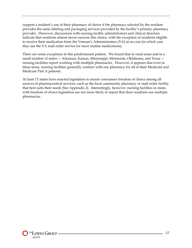support a resident's use of their pharmacy of choice if the pharmacy selected by the resident provides the same labeling and packaging services provided by the facility's primary pharmacy provider. However, discussions with nursing facility administrators and clinical directors indicate that residents almost never exercise this choice, with the exception of residents eligible to receive their medication from the Veteran's Administration (VA) at no cost (in which case they use the VA mail order service for most routine medications).

There are some exceptions to this predominant pattern. We found that in rural areas and in a small number of states –- Arkansas, Kansas, Mississippi, Minnesota, Oklahoma, and Texas – nursing facilities report working with multiple pharmacies. However, it appears that even in these areas, nursing facilities generally contract with one pharmacy for all of their Medicaid and Medicare Part A patients.

At least 17 states have enacted legislation to assure consumers freedom of choice among all sources of pharmaceutical services, such as the local community pharmacy or mail order facility that best suits their needs (See Appendix 2). Interestingly, however, nursing facilities in states with freedom of choice legislation are not more likely to report that their residents use multiple pharmacies.

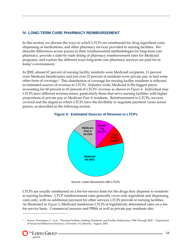## **IV. LONG-TERM CARE PHARMACY REIMBURSEMENT**

In this section, we discuss the ways in which LTCPs are reimbursed for drug ingredient costs, dispensing of medications, and other pharmacy services provided to nursing facilities. We describe differences across payers in their reimbursement methodologies for long-term care pharmacy, provide a state-by-state listing of pharmacy reimbursement rates for Medicaid programs, and explore the different ways long-term care pharmacy services are paid for in today's environment.

In 2002, almost 67 percent of nursing facility residents were Medicaid recipients, 11 percent were Medicare beneficiaries and just over 23 percent of residents were private pay or had some other form of coverage.5 This distribution of coverage for nursing facility residents is reflected in estimated sources of revenue to LTCPs. Industry-wide, Medicaid is the biggest payer, accounting for 60 percent to 65 percent of LTCPs' revenue as shown in *Figure 4*. Individual may LTCPs have different revenue mixes, particularly those that serve nursing facilities with higher proportions of private pay or Medicare Part A residents. Reimbursement to LTCPs, services covered and the degree to which LTCPs have the flexibility to negotiate payment varies across payers, as described in the following section.

#### **Figure 4: Estimated Sources of Revenue to LTCPs**



Source: Lewin discussions with LTCPs.

LTCPs are usually reimbursed on a fee-for-service basis for the drugs they dispense to residents in nursing facilities. LTCP reimbursement rates generally cover only ingredient and dispensing costs only, with no additional payment for other services LTCPs provide to nursing facilities. As illustrated in *Figure 5*, Medicaid reimburses LTCPs at legislatively determined rates on a feefor-service basis. Commercial insurers and PBMs as well as private pay residents also

<sup>5</sup> Source: Harrington, C. et al., "Nursing Facilities, Staffing, Residents, and Facility Deficiencies, 1996 Through 2002." Department of Social and Behavioral Sciences, University of California. August, 2003.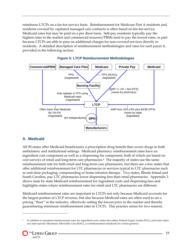reimburse LTCPs on a fee-for-service basis. Reimbursement for Medicare Part A residents and residents covered by capitated managed care contracts is often based on fee-for-service Medicaid rates but may be paid on a per diem basis. Self-pay residents typically pay the highest rates in the market and commercial insurers/PBMs tend to pay the lowest rates, in part because LTCPs are able to pass on additional charges for non-covered services directly to residents. A detailed description of reimbursement methodologies and rates for each payer is provided in the following section.



#### **Figure 5: LTCP Reimbursement Methodologies**

#### **A. Medicaid**

All 50 states offer Medicaid beneficiaries a prescription drug benefit that covers drugs in both ambulatory and institutional settings. Medicaid pharmacy reimbursement rates have an ingredient cost component as well as a dispensing fee component, both of which are based on cost surveys of retail and long-term care pharmacies.6 The majority of states use the same reimbursement rate for both retail and long-term care pharmacies, but there are a few states that offer additional reimbursement for LTC pharmacies or services typical to LTC pharmacies such as unit dose packaging, compounding or home infusion therapy. Two states, Rhode Island and South Carolina, pay LTC pharmacies lower dispensing fees than retail pharmacies. Appendix 3 shows state by state Medicaid reimbursement for ingredient costs and dispensing fees and highlights states where reimbursement rates for retail and LTC pharmacies are different.

Medicaid reimbursement rates are important to LTCPs not only because Medicaid accounts for the largest portion of LTCP revenue, but also because Medicaid rates are often used to set a pricing "floor" in the industry, effectively setting the lowest price in the market and thereby guaranteeing minimum reimbursement rates to LTCPs. This practice arises for two reasons.

<sup>6</sup> In addition to standard reimbursement rates for ingredient costs, states also utilize Federal Upper Limits (FUL), and some states use state-specific Maximum Allowable Cost (MAC), as reimbursement standards for certain generics.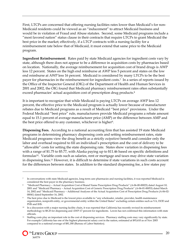First, LTCPs are concerned that offering nursing facilities rates lower than Medicaid's for non-Medicaid residents could be viewed as an "inducement" to attract Medicaid business and would be in violation of Fraud and Abuse statutes. Second, some Medicaid programs include a "most favored nation" status clause in their contracts that require LTCPs to grant Medicaid the best price in the market; effectively, if a LTCP contracts with a nursing facility for a reimbursement rate below that of Medicaid, it must extend that same price to the Medicaid program.

**Ingredient Reimbursement**. Rates paid by state Medicaid agencies for ingredient costs vary by state, although there does not appear to be a difference in acquisition costs by pharmacies based on location. Nationally, the average reimbursement for acquisition cost of brand drugs is AWP less 12 percent. States on the high end reimburse at AWP less 5 percent and states on the low end reimburse at AWP less 16 percent. Medicaid is considered by many LTCPs to be the best payer for pharmacies in the reimbursement for ingredient costs.7 In a series of reports issued by the Office of the Inspector General (OIG) of the Department of Health and Human Services in 2001 and 2002, the OIG found that Medicaid pharmacy reimbursement rates often substantially exceed pharmacies' actual acquisition cost of prescription drug products.<sup>8</sup>

It is important to recognize that while Medicaid is paying LTCPs on average AWP less 12 percent, the effective price to the Medicaid program is actually lower because of manufacturer rebates due to Medicaid programs as a result of Medicaid "best price" provisions. Under the Federal Medicaid "best price" rule, manufacturers provide Medicaid programs a rebate amount equal to 15.1 percent of average manufacturer price (AMP) or the difference between AMP and the best price offered to any customer, whichever is higher<sup>9</sup>.

**Dispensing Fees.** According to a national accounting firm that has assisted 19 state Medicaid programs in determining pharmacy dispensing costs and setting reimbursement rates, state Medicaid programs view the drug benefit as a strictly *outpatient* benefit and consider only the labor and overhead required to fill an individual's prescription and the cost of delivery to be "allowable" costs for setting the state dispensing rate. States show variation in dispensing fees with a range of \$1.75 to \$5.77, with Alaska paying up to \$11.46 based on specific definitions and formulas<sup>10</sup>. Variable costs such as salaries, rent or mortgage and taxes may drive state variation in dispensing fees.11 However, it is difficult to determine if state variations in such costs account for the differences between states. In addition to the standard dispensing fee, a few states pay

In conversations with state Medicaid agencies, long-term care pharmacies and nursing facilities, it was reported Medicaid is considered the best payer in the pharmacy business.

<sup>8 &</sup>quot;Medicaid Pharmacy – Actual Acquisition Cost of Brand Name Prescription Drug Products" (A-06-00-00023) dated August 10, 2001 and "Medicaid Pharmacy – Actual Acquisition Cost of Generic Prescription Drug Products" (A-06-01-00053) dated March 14, 2002 and "Medicaid Pharmacy – Additional Analyses of the Actual Acquisition Cost of Prescription Drug Products (A-06-02- 00041) dated September 16, 2002.

The best price due to Medicaid is the lowest price available to "any wholesaler, retailer, provider, health maintenance organization, nonprofit entity, or governmental entity within the United States" excluding certain entities such as VA, DOD and PHS and IHS.

<sup>&</sup>lt;sup>10</sup> In a discussion with a major nursing facility chain, it was reported that California has recently revised its reimbursement methodology to \$8.25 for dispensing and AWP-17 percent for ingredients. Lewin has not confirmed this information with state officials.

<sup>11</sup> Staffing costs play an important role in the cost of dispensing services. Pharmacy staffing costs may vary significantly by state. For example California has one of the highest pharmacist salary cost in the nation, estimated at \$93,610 as of Nov 2003 compared to a national average of \$81,180 (Bureau of Labor Statistics).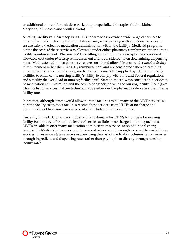an additional amount for unit dose packaging or specialized therapies (Idaho, Maine, Maryland, Minnesota and South Dakota).

**Nursing Facility vs. Pharmacy Rates.** LTC pharmacies provide a wide range of services to nursing facilities, including traditional dispensing services along with additional services to ensure safe and effective medication administration within the facility. Medicaid programs define the costs of these services as allowable under either pharmacy reimbursement or nursing facility reimbursement. Pharmacists' time filling an individual's prescription is considered allowable cost under *pharmacy* reimbursement and is considered when determining dispensing rates. Medication administration services are considered allowable costs under *nursing facility*  reimbursement rather than *pharmacy* reimbursement and are considered when determining nursing facility rates. For example, medication carts are often supplied by LTCPs to nursing facilities to enhance the nursing facility's ability to comply with state and Federal regulations and simplify the workload of nursing facility staff. States almost always consider this service to be medication administration and the cost to be associated with the nursing facility. See *Figure 6* for the list of services that are technically covered under the pharmacy rate versus the nursing facility rate.

In practice, although states would allow nursing facilities to bill many of the LTCP services as nursing facility costs, most facilities receive these services from LTCPs at no charge and therefore do not have any associated costs to include in their cost reports.

Currently in the LTC pharmacy industry it is customary for LTCPs to compete for nursing facility business by offering high levels of service at little or no charge to nursing facilities. LTCPs are able to offer many medication administration services at no additional charge because the Medicaid pharmacy reimbursement rates are high enough to cover the cost of these services. In essence, states are cross-subsidizing the cost of medication administration services through ingredient and dispensing rates rather than paying them directly through nursing facility rates.

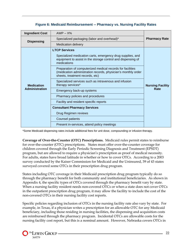| <b>Ingredient Cost</b> | $AWP - X\%$                                                                                                                                                    |                         |
|------------------------|----------------------------------------------------------------------------------------------------------------------------------------------------------------|-------------------------|
|                        | Specialized packaging (labor and overhead)*                                                                                                                    | <b>Pharmacy Rate</b>    |
| <b>Dispensing</b>      | <b>Medication delivery</b>                                                                                                                                     |                         |
|                        | <b>LTCP Services</b>                                                                                                                                           |                         |
|                        | Specialized medication carts, emergency drug supplies, and<br>equipment to assist in the storage control and dispensing of<br>medications                      |                         |
|                        | Preparation of computerized medical records for facilities<br>(medication administration records, physician's monthly order<br>sheets, treatment records, etc) |                         |
| <b>Medication</b>      | Specialized services such as intravenous and infusion<br>therapy services*                                                                                     | <b>Nursing Facility</b> |
| <b>Administration</b>  | Emergency back-up systems                                                                                                                                      | Rate                    |
|                        | Pharmacy policies and procedures                                                                                                                               |                         |
|                        | Facility and resident specific reports                                                                                                                         |                         |
|                        | <b>Consultant Pharmacy Services</b>                                                                                                                            |                         |
|                        | Drug Regimen reviews                                                                                                                                           |                         |
|                        | <b>Counsel patients</b>                                                                                                                                        |                         |
|                        | Present in-services, attend policy meetings                                                                                                                    |                         |

\*Some Medicaid dispensing rates include additional fees for unit dose, compounding or infusion therapy.

**Coverage of Over-the-Counter (OTC) Prescriptions.** Medicaid rules permit states to reimburse for over-the-counter (OTC) prescriptions. States must offer over-the-counter coverage for children covered through the Early Periodic Screening Diagnosis and Treatment (EPSDT) program, but are allowed to require a physician's prescription as proof of medical necessity. For adults, states have broad latitude in whether or how to cover OTCs. According to a 2003 survey conducted by the Kaiser Commission for Medicaid and the Uninsured, 39 of 43 states surveyed covered some OTCs in their prescription drug program.

States including OTC coverage in their Medicaid prescription drug program typically do so through the pharmacy benefit for both community and institutional beneficiaries. As shown in Appendix 4, the specific types of OTCs covered through the pharmacy benefit vary by state. When a nursing facility resident needs non-covered OTCs or when a state does not cover OTCs in the outpatient prescription drug program, it may allow the facility to include the cost of the non-covered OTCs in their nursing facility cost reports.

Specific policies regarding inclusion of OTCs in the nursing facility rate also vary by state. For example, in Texas, if a physician writes a prescription for an allowable OTC for any Medicaid beneficiary, including those residing in nursing facilities, the dispensing and acquisition costs are reimbursed through the pharmacy program. Incidental OTCs are allowable costs for the nursing facility cost report, but this is a nominal amount. However, Nebraska covers OTCs in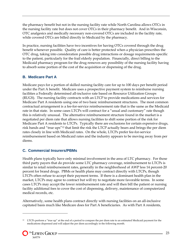the pharmacy benefit but not in the nursing facility rate while North Carolina allows OTCs in the nursing facility rate but does not cover OTCs in their pharmacy benefit. And in Wisconsin, OTC analgesics and medically necessary non-covered OTCs are included in the facility rate, while covered OTCs are billed directly to Medicaid by the pharmacy.

In practice, nursing facilities have two incentives for having OTCs covered through the drug benefit whenever possible. Quality of care is better protected when a physician prescribes the OTC drug, taking into consideration possible drug interactions or dosage requirements specific to the patient, particularly for the frail elderly population. Financially, direct billing to the Medicaid pharmacy program for the drug removes any possibility of the nursing facility having to absorb some portion of the cost of the acquisition or dispensing of the drug.

### **B. Medicare Part A**

Medicare pays for a portion of skilled nursing facility care for up to 100 days per benefit period under the Part A benefit. Medicare uses a prospective payment system to reimburse nursing facilities a Federally determined all-inclusive rate based on Resource Utilization Groups (RUGS). The nursing facility contracts with an LTCP to provide medications and services for Medicare Part A residents using one of two basic reimbursement structures. The most common contractual arrangement is a fee-for-service reimbursement rate that is the same as the Medicaid rate in that state. In some cases LTCPs will contract for a "usual and customary" rate though this is relatively unusual. The alternative reimbursement structure found in the market is a negotiated per diem rate that allows nursing facilities to shift some portion of the risk for Medicare Part A residents to LTCPs. Typically there are exclusions for certain expensive drugs, risk bands and "true ups"12 that limit the risk the LTCP actually bears and brings the per diem rates closely in line with Medicaid rates. On the whole, LTCPs prefer fee-for-service reimbursement based on Medicaid rates and the industry appears to be moving away from per diems.

## **C. Commercial Insurers/PBMs**

Health plans typically have only minimal involvement in the area of LTC pharmacy. For those third party payers that do provide some LTC pharmacy coverage, reimbursement to LTCPs is similar to retail reimbursement rates, generally in the neighborhood of AWP less 14 percent-20 percent for brand drugs. PBMs or health plans may contract directly with LTCPs, though LTCPs often refuse to accept their payment terms. If there is a dominant health plan in the market, LTCPs may agree to contract but will try to negotiate more favorable terms. In some cases LTCPs may accept the lower reimbursement rate and will then bill the patient or nursing facility additional fees to cover the cost of dispensing, delivery, maintenance of computerized medical records, etc.

Alternatively, some health plans contract directly with nursing facilities on an all-inclusive capitated basis much like Medicare does for Part A beneficiaries. As with Part A residents,

<sup>&</sup>lt;sup>12</sup> LTCPs perform a "true up" at the end of a period to compare the per diem rate to an estimated Medicaid payment for the medications dispensed and will adjust the per diem accordingly in the following month.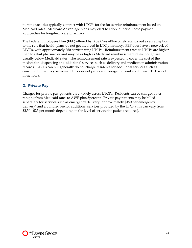nursing facilities typically contract with LTCPs for fee-for-service reimbursement based on Medicaid rates. Medicare Advantage plans may elect to adopt either of these payment approaches for long-term care pharmacy.

The Federal Employees Plan (FEP) offered by Blue Cross-Blue Shield stands out as an exception to the rule that health plans do not get involved in LTC pharmacy. FEP does have a network of LTCPs, with approximately 760 participating LTCPs. Reimbursement rates to LTCPs are higher than to retail pharmacies and may be as high as Medicaid reimbursement rates though are usually below Medicaid rates. The reimbursement rate is expected to cover the cost of the medication, dispensing and additional services such as delivery and medication administration records. LTCPs can but generally do not charge residents for additional services such as consultant pharmacy services. FEP does not provide coverage to members if their LTCP is not in-network.

## **D. Private Pay**

Charges for private pay patients vary widely across LTCPs. Residents can be charged rates ranging from Medicaid rates to AWP plus 5percent. Private pay patients may be billed separately for services such as emergency delivery (approximately \$150 per emergency delivery) and a bundled fee for additional services provided by the LTCP (this can vary from \$2.50 - \$25 per month depending on the level of service the patient requires).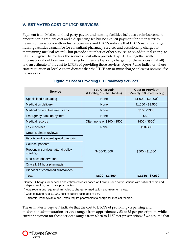## **V. ESTIMATED COST OF LTCP SERVICES**

Payment from Medicaid, third party payers and nursing facilities includes a reimbursement amount for ingredient cost and a dispensing fee but no explicit payment for other services. Lewin conversations with industry observers and LTCPs indicate that LTCPs usually charge nursing facilities a small fee for consultant pharmacy services and occasionally charge for maintaining medical records, but provide a number of other services at no additional charge to LTCPs. *Figure 7* below lists the services most often provided by LTCPs, together with information about how much nursing facilities are typically charged for the services (if at all) and an estimate of the cost to LTCPs of providing these services. *Figure 7* also indicates where state regulation or local custom dictates that the LTCP can or must charge at least a nominal fee for services.

| <b>Service</b>                                 | Fee Charged*<br>(Monthly, 100 bed facility) | Cost to Provide*<br>(Monthly, 100 bed facility) |  |
|------------------------------------------------|---------------------------------------------|-------------------------------------------------|--|
| Specialized packaging                          | <b>None</b>                                 | $$1,000 - $2,000$                               |  |
| <b>Medication delivery</b>                     | None                                        | $$1,000 - $3,500$                               |  |
| Medication and treatment carts                 | <b>None</b>                                 | $$150 - $300$                                   |  |
| Emergency back up system                       | None                                        | $$50^2$                                         |  |
| Medical records                                | Often none or \$200 - \$500                 | $$400 - $500^3$                                 |  |
| Fax machines                                   | None                                        | \$50-\$80                                       |  |
| Drug Regimen reviews                           |                                             |                                                 |  |
| Facility and resident specific reports         |                                             |                                                 |  |
| <b>Counsel patients</b>                        |                                             |                                                 |  |
| Present in-services, attend policy<br>meetings | \$400-\$1,000                               | $$500 - $1,500$                                 |  |
| Med pass observation                           |                                             |                                                 |  |
| On-call, 24 hour pharmacist                    |                                             |                                                 |  |
| Disposal of controlled substances              |                                             |                                                 |  |
| Total                                          | $$600 - $1,500$                             | $$3,150 - $7,930$                               |  |

#### **Figure 7: Cost of Providing LTC Pharmacy Services**

Source: Charges for services and estimated costs based on Lewin Group conversations with national chain and independent long-term care pharmacies.

 $1$  lowa regulations require pharmacies to charge for medication and treatment carts.

 $2$  Cost of inventory is \$1,000, cost of capital estimated at 5%.

<sup>3</sup> California, Pennsylvania and Texas require pharmacies to charge for medical records.

The estimates in *Figure 7* indicate that the cost to LTCPs of providing dispensing and medication administration services ranges from approximately \$3 to \$8 per prescription, while current payment for these services ranges from \$0.60 to \$1.50 per prescription, if we assume that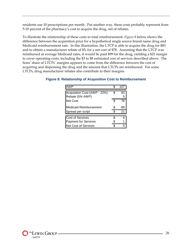residents use 10 prescriptions per month. Put another way, these costs probably represent from 5-10 percent of the pharmacy's cost to acquire the drug, net of rebates.

To illustrate the relationship of these costs to total reimbursement, *Figure 8* below shows the difference between the acquisition price for a hypothetical single source brand name drug and Medicaid reimbursement rate. In this illustration, the LTCP is able to acquire the drug for \$83 and to obtain a manufacturer rebate of \$5, for a net cost of \$78. Assuming that the LTCP was reimbursed at average Medicaid rates, it would be paid \$99 for the drug, yielding a \$21 margin to cover operating costs, including the \$3 to \$8 estimated cost of services described above. The lions' share of LTCPs' margins appears to come from the difference between the cost of acquiring and dispensing the drug and the amount that LTCPs are reimbursed. For some LTCPs, drug manufacturer rebates also contribute to their margins.

#### **Figure 8: Relationship of Acquisition Cost to Reimbursement**

| AWP                          | \$ | 107 |
|------------------------------|----|-----|
|                              |    |     |
| Acquisition Cost (AWP - 22%) | \$ | 83  |
| Rebate (5% AWP)              |    | 5   |
|                              |    |     |
| <b>Net Cost</b>              | ዩ  | 78  |
|                              |    |     |
| Medicaid Reimbursement       | S  | 99  |
|                              |    |     |
| Spread per script            | ፍ  | 21  |
|                              |    |     |
| <b>Cost of Services</b>      | \$ | ี่ค |
|                              | \$ |     |
| <b>Payment for Services</b>  |    |     |
| Net Cost of Services         |    |     |
|                              |    |     |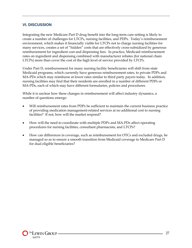#### **VI. DISCUSSION**

Integrating the new Medicare Part D drug benefit into the long-term care setting is likely to create a number of challenges for LTCPs, nursing facilities, and PDPs. Today's reimbursement environment, which makes it financially viable for LTCPs not to charge nursing facilities for many services, creates a set of "hidden" costs that are effectively cross-subsidized by generous reimbursement for ingredient cost and dispensing fees. In practice, Medicaid reimbursement rates on ingredient and dispensing combined with manufacturer rebates (for national chain LTCPs) more than cover the cost of the high level of service provided by LTCPs.

Under Part D, reimbursement for many nursing facility beneficiaries will shift from state Medicaid programs, which currently have generous reimbursement rates, to private PDPs and MA-PDs which may reimburse at lower rates similar to third party payers today. In addition, nursing facilities may find that their residents are enrolled in a number of different PDPs or MA-PDs, each of which may have different formularies, policies and procedures.

While it is unclear how these changes in reimbursement will affect industry dynamics, a number of questions emerge:

- Will reimbursement rates from PDPs be sufficient to maintain the current business practice of providing medication management-related services at no additional cost to nursing facilities? If not, how will the market respond?
- How will the need to coordinate with multiple PDPs and MA-PDs affect operating procedures for nursing facilities, consultant pharmacists, and LTCPs?
- How can differences in coverage, such as reimbursement for OTCs and excluded drugs, be managed so as to ensure a smooth transition from Medicaid coverage to Medicare Part D for dual eligible beneficiaries?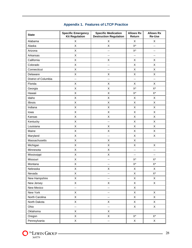| <b>State</b>            | <b>Specific Emergency</b><br><b>Specific Medication</b><br><b>Kit Regulation</b><br><b>Destruction Regulation</b> |                           | <b>Allows Rx</b><br>Return | <b>Allows Rx</b><br><b>Re-Use</b> |
|-------------------------|-------------------------------------------------------------------------------------------------------------------|---------------------------|----------------------------|-----------------------------------|
| Alabama                 | X                                                                                                                 | X                         |                            | Χ                                 |
| Alaska                  | Χ                                                                                                                 | X                         | X*                         | --                                |
| Arizona                 | Χ                                                                                                                 | --                        | $\mathsf{X}^\star$         | --                                |
| Arkansas                | Χ                                                                                                                 | $\overline{\phantom{a}}$  | --                         | --                                |
| California              | X                                                                                                                 | X                         | X                          | X                                 |
| Colorado                | X                                                                                                                 | --                        | X                          | Χ                                 |
| Connecticut             | Χ                                                                                                                 | $\overline{\phantom{a}}$  | Χ                          | Χ                                 |
| Delaware                | Χ                                                                                                                 | X                         | X                          | Χ                                 |
| District of Columbia    | --                                                                                                                | --                        | --                         | --                                |
| Florida                 | X                                                                                                                 | X                         | X                          | X                                 |
| Georgia                 | Χ                                                                                                                 | $\mathsf X$               | $X^*$                      | $X^*$                             |
| Hawaii                  | $\sf X$                                                                                                           | X                         | $X^*$                      | $X^*$                             |
| Idaho                   | $\mathsf X$                                                                                                       | Χ                         | Χ                          | X                                 |
| Illinois                | $\mathsf X$                                                                                                       | Χ                         | X                          | X                                 |
| Indiana                 | $\mathsf X$                                                                                                       | X                         | X                          | Χ                                 |
| lowa                    | Χ                                                                                                                 | X                         | Χ                          | X                                 |
| Kansas                  | $\mathsf X$                                                                                                       | Χ                         | $\mathsf X$                | X                                 |
| Kentucky                | Χ                                                                                                                 | --                        | X                          | Χ                                 |
| Louisiana               | $\mathsf X$                                                                                                       | Χ                         | X                          | X                                 |
| Maine                   | X                                                                                                                 | Χ                         | X                          | X                                 |
| Maryland                | Χ                                                                                                                 | --                        | Χ                          | Χ                                 |
| Massachusetts           | $\mathsf X$                                                                                                       | X                         | Χ                          |                                   |
| $\mathsf X$<br>Michigan |                                                                                                                   | Χ                         | Χ                          | Χ                                 |
| Minnesota               | X                                                                                                                 | X                         | --                         | --                                |
| Mississippi             | X                                                                                                                 | X                         | $\overline{\phantom{a}}$   | --                                |
| Missouri                | $\sf X$                                                                                                           | --                        | $\mathsf{X}^\star$         | $X^*$                             |
| Montana                 | Χ                                                                                                                 | --                        | $\mathsf{X}^\star$         | $X^*$                             |
| Nebraska                | Χ                                                                                                                 | Χ                         | $\mathsf X$                | X                                 |
| Nevada                  | $\mathsf X$                                                                                                       | ۰.                        | $\mathsf X$                | $X^*$                             |
| New Hampshire           | $\mathsf X$                                                                                                       | --                        | X                          | X                                 |
| New Jersey              | $\mathsf X$                                                                                                       | Χ                         | Χ                          | X                                 |
| New Mexico              | --                                                                                                                | $\overline{\phantom{a}}$  | Χ                          |                                   |
| New York                | $\mathsf X$                                                                                                       | ۰.                        | X                          | X                                 |
| North Carolina          | X                                                                                                                 | $\overline{\phantom{a}}$  | Χ                          | X                                 |
| North Dakota            | $\mathsf X$                                                                                                       | Χ                         | X                          | X                                 |
| Ohio                    | $\overline{\phantom{a}}$                                                                                          | $\mathbb{H}^{\mathbb{Z}}$ | Χ                          | X                                 |
| Oklahoma                | $\mathsf X$                                                                                                       | X                         |                            |                                   |
| Oregon                  | $\mathsf X$                                                                                                       | Χ                         | $X^*$                      | $X^*$                             |
| Pennsylvania            | $\mathsf X$                                                                                                       | --                        | X                          | X                                 |

### **Appendix 1. Features of LTCP Practice**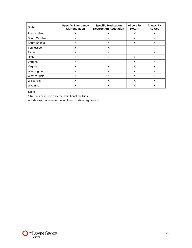| <b>State</b>   | <b>Specific Emergency</b><br><b>Kit Regulation</b> | <b>Specific Medication</b><br><b>Destruction Regulation</b> | <b>Allows Rx</b><br>Return | <b>Allows Rx</b><br><b>Re-Use</b> |  |
|----------------|----------------------------------------------------|-------------------------------------------------------------|----------------------------|-----------------------------------|--|
| Rhode Island   | X                                                  | X                                                           | X                          | X                                 |  |
| South Carolina | X                                                  | X                                                           | X                          | X                                 |  |
| South Dakota   | X                                                  | X                                                           | X                          | X                                 |  |
| Tennessee      | X                                                  | X                                                           |                            |                                   |  |
| Texas          | X                                                  | --                                                          |                            | X                                 |  |
| Utah           | X                                                  | X                                                           | X                          | X                                 |  |
| Vermont        | X                                                  | --                                                          | X                          | X                                 |  |
| Virginia       | X                                                  | X                                                           | X                          | X                                 |  |
| Washington     | X                                                  | X                                                           | X                          | X                                 |  |
| West Virginia  | X                                                  | X                                                           | X                          | X                                 |  |
| Wisconsin      | X                                                  | X                                                           | X                          | X                                 |  |
| Wyoming        | X                                                  | X                                                           | X                          | X                                 |  |

Notes:

\* Returns or re-use only for institutional facilities.

-- Indicates that no information found in state regulations.



 $\overline{\phantom{a}}$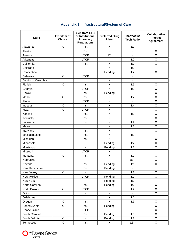| <b>State</b>         | Freedom of<br><b>Choice</b> | <b>Separate LTC</b><br>or Institutional<br>Pharmacy<br><b>Regulations</b> | <b>Preferred Drug</b><br><b>Lists</b> | <b>Pharmacist:</b><br><b>Tech Ratio</b> | Collaborative<br><b>Practice</b><br><b>Agreement</b> |
|----------------------|-----------------------------|---------------------------------------------------------------------------|---------------------------------------|-----------------------------------------|------------------------------------------------------|
| Alabama              | X                           | Inst.                                                                     | $\mathsf X$                           | 1:2                                     |                                                      |
| Alaska               |                             | Inst.                                                                     | X                                     | --                                      | $\mathsf X$                                          |
| Arizona              |                             | <b>LTCP</b>                                                               | $X^*$                                 | --                                      | $\sf X$                                              |
| Arkansas             |                             | <b>LTCP</b>                                                               |                                       | 1:2                                     | X                                                    |
| California           |                             | Inst.                                                                     | X                                     | 1:2                                     | $\mathsf X$                                          |
| Colorado             |                             |                                                                           | X                                     | 1:2                                     |                                                      |
| Connecticut          |                             |                                                                           | Pending                               | 1:2                                     | X                                                    |
| Delaware             | X                           | <b>LTCP</b>                                                               |                                       | --                                      |                                                      |
| District of Columbia |                             |                                                                           | X                                     | $-$                                     |                                                      |
| Florida              | X                           | Inst.                                                                     | $\sf X$                               | 1:3                                     | X                                                    |
| Georgia              |                             | <b>LTCP</b>                                                               | X                                     | 1:2                                     | $\sf X$                                              |
| Hawaii               |                             | Inst.                                                                     | Pending                               | ц.                                      | $\sf X$                                              |
| Idaho                | X                           | Inst.                                                                     | Χ                                     | 1:2                                     | $\sf X$                                              |
| <b>Illinois</b>      |                             | <b>LTCP</b>                                                               | X                                     | ц.                                      | $\sf X$                                              |
| Indiana              | X                           | Inst.                                                                     | X                                     | 1:4                                     | $\mathsf X$                                          |
| lowa                 | X                           | <b>LTCP</b>                                                               | Χ                                     | -−                                      | Χ                                                    |
| Kansas               |                             | Inst.                                                                     | X                                     | 1:2                                     | $\sf X$                                              |
| Kentucky             |                             | Inst.                                                                     | X                                     | $\overline{\phantom{a}}$                | $\mathsf X$                                          |
| Louisiana            |                             | Inst.                                                                     | X                                     | 1:2                                     | $\sf X$                                              |
| Maine                |                             |                                                                           | X                                     | 1:3                                     | $\sf X$                                              |
| Maryland             |                             | Inst.                                                                     | Χ                                     | --                                      | $\sf X$                                              |
| Massachusetts        |                             | Inst.                                                                     | X                                     | 1:2                                     |                                                      |
| Michigan             |                             | Inst.                                                                     | $\overline{X}$                        | ц.                                      | X                                                    |
| Minnesota            |                             |                                                                           | Pending                               | 1:2                                     | Χ                                                    |
| Mississippi          |                             | Inst.                                                                     | Pending                               | 1:2                                     | $\mathsf X$                                          |
| Missouri             |                             | <b>LTCP</b>                                                               | Χ                                     | $\overline{\phantom{a}}$                |                                                      |
| Montana              | X                           | Inst.                                                                     | X                                     | 1:1                                     | $\mathsf X$                                          |
| Nebraska             |                             |                                                                           |                                       | $1:3**$                                 | X                                                    |
| Nevada               |                             | Inst.                                                                     | Pending                               | 1:1                                     | X                                                    |
| New Hampshire        |                             | Inst.                                                                     | Pending                               | $\overline{\phantom{a}}$                |                                                      |
| New Jersey           | X                           | Inst.                                                                     |                                       | 1:2                                     | X                                                    |
| New Mexico           |                             | <b>LTCP</b>                                                               | Pending                               | 1:2                                     | $\mathsf{X}$                                         |
| New York             |                             |                                                                           | Pending                               | 1:2                                     |                                                      |
| North Carolina       |                             | Inst.                                                                     | Pending                               | 1:2                                     | Χ                                                    |
| North Dakota         | X                           | <b>LTCP</b>                                                               |                                       | 1:2                                     | X                                                    |
| Ohio                 |                             | Inst.                                                                     | X                                     | $\overline{\phantom{a}}$                | X                                                    |
| Oklahoma             |                             |                                                                           | X                                     | 1:2                                     |                                                      |
| Oregon               | X                           | Inst.                                                                     | X                                     | 1:3                                     | X                                                    |
| Pennsylvania         | $\mathsf{X}$                | Inst.                                                                     | Pending                               | $\overline{\phantom{a}}$                | X                                                    |
| Rhode Island         |                             | <b>LTCP</b>                                                               |                                       | ۰.                                      | Χ                                                    |
| South Carolina       |                             | Inst.                                                                     | Pending                               | 1:3                                     | $\mathsf X$                                          |
| South Dakota         | X                           | Inst.                                                                     | Pending                               | 1:2                                     | $\mathsf X$                                          |
| Tennessee            | $\overline{X}$              | Inst.                                                                     | X                                     | $1:3**$                                 | $\mathsf X$                                          |

# **Appendix 2: Infrastructural/System of Care**



 $\overline{\phantom{a}}$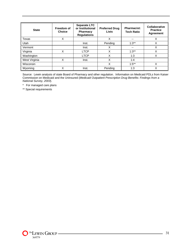| <b>State</b>  | Freedom of<br><b>Choice</b> | <b>Separate LTC</b><br>or Institutional<br><b>Pharmacy</b><br><b>Regulations</b> | <b>Preferred Drug</b><br><b>Lists</b> | <b>Pharmacist:</b><br><b>Tech Ratio</b> | Collaborative<br><b>Practice</b><br><b>Agreement</b> |
|---------------|-----------------------------|----------------------------------------------------------------------------------|---------------------------------------|-----------------------------------------|------------------------------------------------------|
| Texas         | X                           |                                                                                  | X                                     | --                                      | Χ                                                    |
| Utah          |                             | Inst.                                                                            | Pending                               | $1:3**$                                 | X                                                    |
| Vermont       |                             | Inst.                                                                            | v<br>́                                | $- -$                                   | X                                                    |
| Virginia      | X                           | <b>LTCP</b>                                                                      | X                                     | $1:3**$                                 | X                                                    |
| Washington    |                             | <b>LTCP</b>                                                                      | X                                     | 1:3                                     | X                                                    |
| West Virginia | X                           | Inst.                                                                            | X                                     | 1:4                                     |                                                      |
| Wisconsin     |                             |                                                                                  | X                                     | $1:5***$                                | X                                                    |
| Wyoming       | Χ                           | Inst.                                                                            | Pending                               | 1:3                                     | Χ                                                    |

Source: Lewin analysis of state Board of Pharmacy and other regulation. Information on Medicaid PDLs from Kaiser Commission on Medicaid and the Uninsured (*Medicaid Outpatient Prescription Drug Benefits: Findings from a National Survey, 2003*).

\* For managed care plans

\*\* Special requirements



L.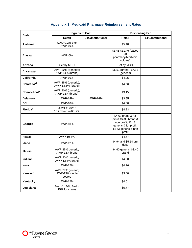| <b>State</b>           | <b>Ingredient Cost</b>                       |                          | <b>Dispensing Fee</b>                                                                                                         |                          |
|------------------------|----------------------------------------------|--------------------------|-------------------------------------------------------------------------------------------------------------------------------|--------------------------|
|                        | <b>Retail</b>                                | <b>LTC/Institutional</b> | <b>Retail</b>                                                                                                                 | <b>LTC/Institutional</b> |
| Alabama                | WAC+9.2% then<br>AWP-10%                     |                          | \$5.40                                                                                                                        |                          |
| Alaska                 | AWP-5%                                       |                          | \$3.45-\$11.46 (based<br>on<br>pharmacy/Medicaid<br>volume)                                                                   |                          |
| Arizona                | Set by MCO                                   |                          | Set by MCO                                                                                                                    |                          |
| Arkansas*              | AWP-20% (generic);<br>AWP-14% (brand)        |                          | \$5.51 (brand); \$7.51<br>(generic)                                                                                           |                          |
| California             | AWP-10%                                      |                          | \$4.05                                                                                                                        |                          |
| Colorado <sup>*1</sup> | AWP-35% (generic);<br>AWP-13.5% (brand)      |                          | \$4.00                                                                                                                        |                          |
| Connecticut*           | AWP-40% (generic);<br>AWP-12% (brand)        |                          | \$3.15                                                                                                                        |                          |
| <b>Delaware</b>        | <b>AWP-14%</b>                               | AWP-16%                  | \$3.65                                                                                                                        |                          |
| <b>DC</b>              | AWP-10%                                      |                          | \$4.50                                                                                                                        |                          |
| Florida*               | Lower of AWP-<br>13.25% or WAC+7%            |                          | \$4.23                                                                                                                        |                          |
| Georgia                | AWP-10%                                      |                          | \$4.63 brand & for<br>profit, \$4.33 brand &<br>non profit, \$5.13<br>generic & for profit,<br>\$4.63 generic & non<br>profit |                          |
| Hawaii                 | AWP-10.5%                                    |                          | \$4.67                                                                                                                        |                          |
| Idaho                  | AWP-12%                                      |                          | \$4.94 and \$5.54 unit<br>dose                                                                                                |                          |
| <b>Illinois</b>        | AWP-25% generic;<br>AWP-12% brand            |                          | \$4.60 generic; \$3.40<br>brand                                                                                               |                          |
| <b>Indiana</b>         | AWP-20% generic;<br>AWP-13.5% brand          |                          | \$4.90                                                                                                                        |                          |
| lowa                   | AWP-12%                                      |                          | \$4.26                                                                                                                        |                          |
| Kansas*                | AWP-27% generic;<br>AWP-13% single<br>source |                          | \$3.40                                                                                                                        |                          |
| Kentucky               | AWP-12%                                      |                          | \$4.51                                                                                                                        |                          |
| Louisiana              | AWP-13.5%, AWP-<br>15% for chains            |                          | \$5.77                                                                                                                        |                          |

# **Appendix 3: Medicaid Pharmacy Reimbursement Rates**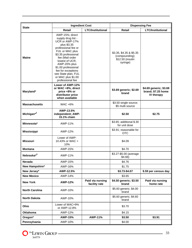| <b>State</b>           | <b>Ingredient Cost</b>                                                                                                                                                                                                                                                                                     |                                   | <b>Dispensing Fee</b>                                                     |                                                            |  |
|------------------------|------------------------------------------------------------------------------------------------------------------------------------------------------------------------------------------------------------------------------------------------------------------------------------------------------------|-----------------------------------|---------------------------------------------------------------------------|------------------------------------------------------------|--|
|                        | <b>Retail</b>                                                                                                                                                                                                                                                                                              | <b>LTC/Institutional</b>          | <b>Retail</b>                                                             | <b>LTC/Institutional</b>                                   |  |
| <b>Maine</b>           | AWP-15%; direct<br>supply drug list -<br>UCR or AWP-17%<br>plus \$3.35<br>professional fee or<br>FUL or MAC plus<br>\$3.35 professional<br>fee (Mail order<br>lowest of UCR,<br>AWP-20% plus<br>\$1.00 professional<br>fee for exceptions<br>see State plan, FUL<br>or MAC plus \$1.00<br>professional fee |                                   | \$3.35, \$4.35 & \$5.35<br>(compounding);<br>\$12.50 (insulin<br>syringe) |                                                            |  |
| Maryland*              | Lower of AWP-12%<br>or WAC +8%, direct<br>price +8% or<br>distributor price<br>when available                                                                                                                                                                                                              |                                   | \$3.69 generic; \$2.69<br>brand                                           | \$4.69 generic; \$3.69<br>brand; \$7.25 home<br>IV therapy |  |
| <b>Massachusetts</b>   | <b>WAC +6%</b>                                                                                                                                                                                                                                                                                             |                                   | \$3.50 single source;<br>\$5 multi source                                 |                                                            |  |
| Michigan <sup>*2</sup> | AWP-13.5%<br>independent; AWP-<br>15.1% chain                                                                                                                                                                                                                                                              |                                   | \$2.50                                                                    | \$2.75                                                     |  |
| Minnesota*             | AWP-11%                                                                                                                                                                                                                                                                                                    |                                   | \$3.65; additional \$.30<br>for unit dose                                 |                                                            |  |
| <b>Mississippi</b>     | AWP-12%                                                                                                                                                                                                                                                                                                    |                                   | \$3.91; reasonable for<br><b>OTC</b>                                      |                                                            |  |
| <b>Missouri</b>        | Lower of AWP-<br>10.43% or WAC +<br>10%                                                                                                                                                                                                                                                                    |                                   | \$4.09                                                                    |                                                            |  |
| <b>Montana</b>         | AWP-15%                                                                                                                                                                                                                                                                                                    |                                   | \$4.70                                                                    |                                                            |  |
| Nebraska* <sup>3</sup> | AWP-11%                                                                                                                                                                                                                                                                                                    |                                   | \$3.27-\$5.00 (average<br>\$4.66)                                         |                                                            |  |
| Nevada                 | AWP-15%                                                                                                                                                                                                                                                                                                    |                                   | \$4.76                                                                    |                                                            |  |
| New Hampshire*         | AWP-16%                                                                                                                                                                                                                                                                                                    |                                   | \$1.75                                                                    |                                                            |  |
| New Jersey*            | AWP-12.5%                                                                                                                                                                                                                                                                                                  |                                   | \$3.73-\$4.07                                                             | \$.59 per census day                                       |  |
| <b>New Mexico</b>      | AWP-14%                                                                                                                                                                                                                                                                                                    |                                   | \$3.65                                                                    |                                                            |  |
| <b>New York</b>        | <b>AWP-12%</b>                                                                                                                                                                                                                                                                                             | Paid via nursing<br>facility rate | \$4.50 generic; \$3.50<br>brand                                           | Paid via nursing<br>home rate                              |  |
| <b>North Carolina</b>  | AWP-10%                                                                                                                                                                                                                                                                                                    |                                   | \$5.60 generic; \$4.00<br>brand                                           |                                                            |  |
| <b>North Dakota</b>    | AWP-10%                                                                                                                                                                                                                                                                                                    |                                   | \$5.60 generic; \$4.60<br>brand                                           |                                                            |  |
| Ohio                   | Lower of WAC+9%<br>or AWP-12.8%                                                                                                                                                                                                                                                                            |                                   | \$3.70                                                                    |                                                            |  |
| Oklahoma               | AWP-12%                                                                                                                                                                                                                                                                                                    |                                   | \$4.15                                                                    |                                                            |  |
| Oregon*                | <b>AWP-15%</b>                                                                                                                                                                                                                                                                                             | <b>AWP-11%</b>                    | \$3.50                                                                    | \$3.91                                                     |  |
| Pennsylvania           | AWP-10%                                                                                                                                                                                                                                                                                                    |                                   | \$4.00                                                                    |                                                            |  |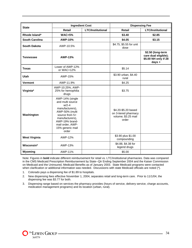| <b>State</b>          | <b>Ingredient Cost</b>                                                                                                                                                                        |                          | <b>Dispensing Fee</b>                                                       |                                                                             |  |
|-----------------------|-----------------------------------------------------------------------------------------------------------------------------------------------------------------------------------------------|--------------------------|-----------------------------------------------------------------------------|-----------------------------------------------------------------------------|--|
|                       | Retail                                                                                                                                                                                        | <b>LTC/Institutional</b> | <b>Retail</b>                                                               | <b>LTC/Institutional</b>                                                    |  |
| Rhode Island*         | <b>WAC+5%</b>                                                                                                                                                                                 |                          | \$3.40                                                                      | \$2.85                                                                      |  |
| <b>South Carolina</b> | AWP-10%                                                                                                                                                                                       |                          | \$4.05                                                                      | \$3.15                                                                      |  |
| <b>South Dakota</b>   | AWP-10.5%                                                                                                                                                                                     |                          | \$4.75, \$5.55 for unit<br>dose                                             |                                                                             |  |
| <b>Tennessee</b>      | AWP-13%                                                                                                                                                                                       |                          |                                                                             | \$2.50 (long-term<br>care dual eligible);<br>\$5.00 NH only if 28<br>days + |  |
| <b>Texas</b>          | Lower of AWP-12%<br>or WAC+12%                                                                                                                                                                |                          | \$5.14                                                                      |                                                                             |  |
| Utah                  | AWP-15%                                                                                                                                                                                       |                          | \$3.90 urban, \$4.40<br>rural                                               |                                                                             |  |
| <b>Vermont</b>        | AWP-11.9%                                                                                                                                                                                     |                          | \$4.25                                                                      |                                                                             |  |
| Virginia*             | AWP-10.25%, AWP-<br>25% for hemophilia<br>drugs                                                                                                                                               |                          | \$3.75                                                                      |                                                                             |  |
| Washington            | AWP-14% (single<br>and multi source<br>$W/2 - 4$<br>manufacturers).<br>AWP-50% (multi<br>source from 5+<br>manufacturers),<br>AWP-19% brand-<br>mail order, AWP-<br>15% generic mail<br>order |                          | \$4.20-\$5.20 based<br>on 3-tiered pharmacy<br>volume; \$3.25 mail<br>order |                                                                             |  |
| <b>West Virginia</b>  | AWP-12%                                                                                                                                                                                       |                          | \$3.90 plus \$1.00<br>compounding                                           |                                                                             |  |
| Wisconsin*            | AWP-13%                                                                                                                                                                                       |                          | \$4.88, \$4.38 for<br>legend drugs                                          |                                                                             |  |
| Wyoming               | AWP-11%                                                                                                                                                                                       |                          | \$5.00                                                                      |                                                                             |  |

Note: Figures in **bold** indicate different reimbursement for retail vs. LTC/institutional pharmacies. Data was compared in the CMS Medicaid Prescription Reimbursement by State--Qtr Ending September 2004 and the Kaiser Commission on Medicaid and the Uninsured, Medicaid Benefits as of January 2003. State Medicaid programs were contacted when clarification or additional information was needed. Discussions with state Medicaid officials are noted (\*).

1. Colorado pays a dispensing fee of \$1.89 to hospitals.

2. New dispensing fees effective November 1, 2004, separates retail and long-term care. Prior to 11/1/04, the dispensing fee was \$3.77 for both.

3. Dispensing range based on services the pharmacy provides (hours of service, delivery service, charge accounts, medication management programs) and its location (urban, rural).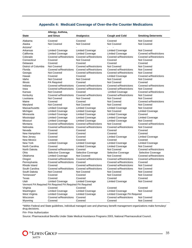|  |  |  | <b>Appendix 4: Medicaid Coverage of Over-the-the Counter Medications</b> |  |  |
|--|--|--|--------------------------------------------------------------------------|--|--|
|--|--|--|--------------------------------------------------------------------------|--|--|

|                                                         | Allergy, Asthma,        |                               |                              |                           |  |
|---------------------------------------------------------|-------------------------|-------------------------------|------------------------------|---------------------------|--|
| <b>State</b>                                            | and Sinus               | <b>Analgesics</b>             | <b>Cough and Cold</b>        | <b>Smoking Deterrents</b> |  |
| Alabama                                                 | Covered                 | Covered                       | Covered                      | <b>Not Covered</b>        |  |
| Alaska                                                  | <b>Not Covered</b>      | Not Covered                   | Not Covered                  | Not Covered               |  |
| Arizona*                                                |                         |                               |                              |                           |  |
| Arkansas                                                | <b>Limited Coverage</b> | <b>Limited Coverage</b>       | <b>Limited Coverage</b>      | Not Covered               |  |
| California                                              | <b>Limited Coverage</b> | <b>Limited Coverage</b>       | <b>Limited Coverage</b>      | Covered w/Restrictions    |  |
| Colorado                                                | Covered w/Restrictions  | Covered w/Restrictions        | Covered w/Restrictions       | Covered w/Restrictions    |  |
| Connecticut                                             | Covered                 | Not Covered                   | Covered                      | Not Covered               |  |
| Delaware                                                | Covered                 | Covered                       | Covered                      | Covered                   |  |
| District of Columbia                                    | Not Covered             | <b>Covered w/Restrictions</b> | Not Covered                  | Not Covered               |  |
| Florida                                                 | Covered w/Restrictions  | Covered w/Restrictions        | Covered w/Restrictions       | Not Covered               |  |
| Georgia                                                 | Not Covered             | Covered w/Restrictions        | Covered w/Restrictions       | <b>Not Covered</b>        |  |
| Hawaii                                                  | Covered                 | Covered                       | <b>Limited Coverage</b>      | Covered w/Restrictions    |  |
| Idaho                                                   | <b>Not Covered</b>      | <b>Not Covered</b>            | <b>Not Covered</b>           | Not Covered               |  |
| Illinois                                                | <b>PA Required</b>      | Covered                       | Not Covered                  | Covered                   |  |
| Indiana                                                 | Covered w/Restrictions  | Covered w/Restrictions        | Covered w/Restrictions       | Covered w/Restrictions    |  |
| Iowa                                                    | Covered w/Restrictions  | Covered w/Restrictions        | Covered w/Restrictions       | Not Covered               |  |
| Kansas                                                  | Not Covered             | Covered                       | <b>Limited Coverage</b>      | Covered w/Restrictions    |  |
| Kentucky                                                | Covered w/Restrictions  | Covered w/Restrictions        | Covered w/Restrictions       | Not Covered               |  |
| Louisiana                                               | <b>Not Covered</b>      | Not Covered                   | Not Covered                  | Not Covered               |  |
| Maine                                                   | Covered                 | Covered                       | Not Covered                  | Covered w/Restrictions    |  |
| Maryland                                                | Not Covered             | Not Covered                   | Not Covered                  | Not Covered               |  |
| <b>Massachusetts</b>                                    | Limited Coverage        | <b>Limited Coverage</b>       | <b>Limited Coverage</b>      | <b>Not Covered</b>        |  |
| Michigan                                                | Limited Coverage        | <b>Limited Coverage</b>       | <b>Not Covered</b>           | <b>Limited Coverage</b>   |  |
| Minnesota                                               | <b>Limited Coverage</b> | <b>Limited Coverage</b>       | <b>Limited Coverage</b>      | Covered                   |  |
| Mississippi                                             | <b>Limited Coverage</b> | <b>Limited Coverage</b>       | <b>Limited Coverage</b>      | <b>Limited Coverage</b>   |  |
| Missouri                                                | <b>Limited Coverage</b> | <b>Limited Coverage</b>       | <b>Limited Coverage</b>      | Not Covered               |  |
| Montana                                                 | Covered w/Restrictions  | Covered w/Restrictions        | Not Covered                  | Covered w/Restrictions    |  |
| Nebraska                                                | Covered w/Restrictions  | Covered w/Restrictions        | Covered w/Restrictions       | Not Covered               |  |
| Nevada                                                  | Covered                 | Covered                       | Covered                      | Covered                   |  |
| New Hampshire                                           | Covered                 | Covered                       | Covered                      | Covered                   |  |
| New Jersey                                              | Covered                 | Covered                       | <b>Limited Coverage</b>      | <b>Limited Coverage</b>   |  |
| New Mexico                                              | Covered                 | Covered                       | Covered                      | Covered                   |  |
| New York                                                | <b>Limited Coverage</b> | <b>Limited Coverage</b>       | Limited Coverage             | <b>Limited Coverage</b>   |  |
| North Carolina                                          | Covered                 | <b>Limited Coverage</b>       | Limited Coverage             | <b>Not Covered</b>        |  |
| North Dakota                                            | Covered w/Restrictions  | Covered                       | Not Covered                  | Covered w/Restrictions    |  |
| Ohio                                                    | Selective Coverage      | Selective Coverage            | Selective Coverage           | Selective Coverage        |  |
| Oklahoma                                                | <b>Limited Coverage</b> | Not Covered                   | Not Covered                  | Covered w/Restrictions    |  |
| Oregon                                                  | Covered w/Restrictions  | Covered w/Restrictions        | Covered w/Restrictions       | Covered w/Restrictions    |  |
| Pennsylvania                                            | Covered w/Restrictions  | Covered                       | Covered w/Restrictions       | Covered                   |  |
| Rhode Island                                            | Covered                 | Covered w/Restrictions        | Covered w/Restrictions       | Not Covered               |  |
| South Carolina                                          | Covered w/Restrictions  | Covered w/Restrictions        | Covered w/Restrictions       | Not Covered               |  |
| South Dakota                                            | Not Covered             | Not Covered                   | Not Covered                  | Not Covered               |  |
| Tennessee*                                              | Covered                 | Covered                       | Not Covered                  | Not Covered               |  |
| Texas                                                   | Covered                 | Covered                       | Covered                      | Covered                   |  |
| Utah                                                    | <b>Limited Coverage</b> | <b>Limited Coverage</b>       | <b>Limited Coverage</b>      | Not Covered               |  |
| Vermont PA Required PA Required PA Required PA Required |                         |                               |                              |                           |  |
| Virginia                                                | Covered                 | Covered                       | Covered                      | Covered                   |  |
| Washington                                              | <b>Limited Coverage</b> | <b>Limited Coverage</b>       | <b>Limited Coverage</b>      | Not Covered               |  |
| West Virginia                                           | <b>Limited Coverage</b> | Limited Coverage              | Limited Coverage PA Required |                           |  |
| Wisconsin                                               | Covered w/Restrictions  | Covered                       | Covered w/Restrictions       | Not Covered               |  |
| Wyoming                                                 | Covered                 | Covered                       | Covered                      | Not Covered               |  |

\*Within Federal and State guidelines, individual managed care and pharmacy benefit management organizations make formulary/ drug decisions.

PA= Prior Authorization

Source: Pharmaceutical Benefits Under State Medical Assistance Programs 2003, National Pharmaceutical Council.